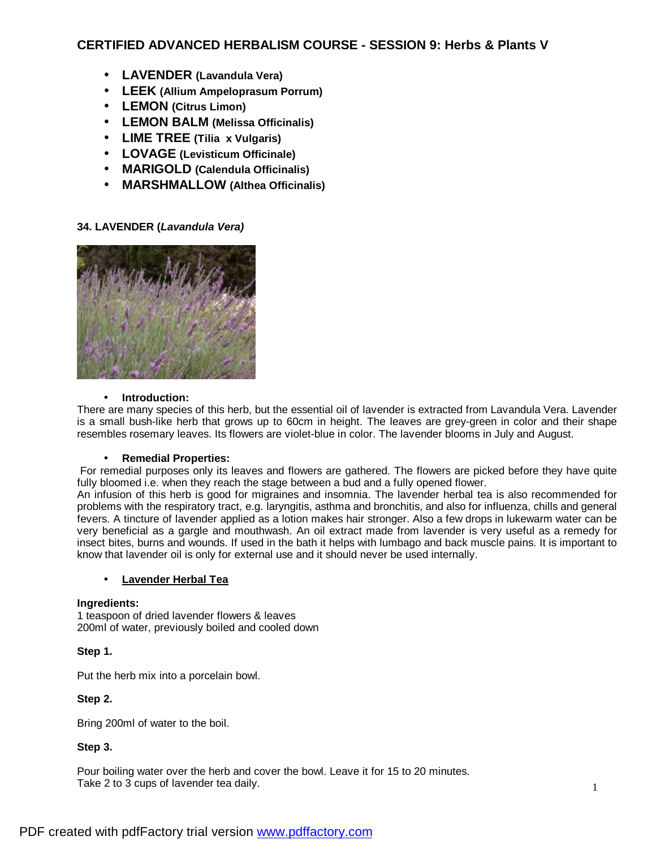# **CERTIFIED ADVANCED HERBALISM COURSE - SESSION 9: Herbs & Plants V**

- **LAVENDER (Lavandula Vera)**
- **LEEK (Allium Ampeloprasum Porrum)**
- **LEMON (Citrus Limon)**
- **LEMON BALM (Melissa Officinalis)**
- **LIME TREE (Tilia x Vulgaris)**
- **LOVAGE (Levisticum Officinale)**
- **MARIGOLD (Calendula Officinalis)**
- **MARSHMALLOW (Althea Officinalis)**

## **34. LAVENDER (***Lavandula Vera)*



### • **Introduction:**

There are many species of this herb, but the essential oil of lavender is extracted from Lavandula Vera. Lavender is a small bush-like herb that grows up to 60cm in height. The leaves are grey-green in color and their shape resembles rosemary leaves. Its flowers are violet-blue in color. The lavender blooms in July and August.

### • **Remedial Properties:**

 For remedial purposes only its leaves and flowers are gathered. The flowers are picked before they have quite fully bloomed i.e. when they reach the stage between a bud and a fully opened flower.

An infusion of this herb is good for migraines and insomnia. The lavender herbal tea is also recommended for problems with the respiratory tract, e.g. laryngitis, asthma and bronchitis, and also for influenza, chills and general fevers. A tincture of lavender applied as a lotion makes hair stronger. Also a few drops in lukewarm water can be very beneficial as a gargle and mouthwash. An oil extract made from lavender is very useful as a remedy for insect bites, burns and wounds. If used in the bath it helps with lumbago and back muscle pains. It is important to know that lavender oil is only for external use and it should never be used internally.

### • **Lavender Herbal Tea**

### **Ingredients:**

1 teaspoon of dried lavender flowers & leaves 200ml of water, previously boiled and cooled down

## **Step 1.**

Put the herb mix into a porcelain bowl.

## **Step 2.**

Bring 200ml of water to the boil.

## **Step 3.**

Pour boiling water over the herb and cover the bowl. Leave it for 15 to 20 minutes. Take 2 to 3 cups of lavender tea daily.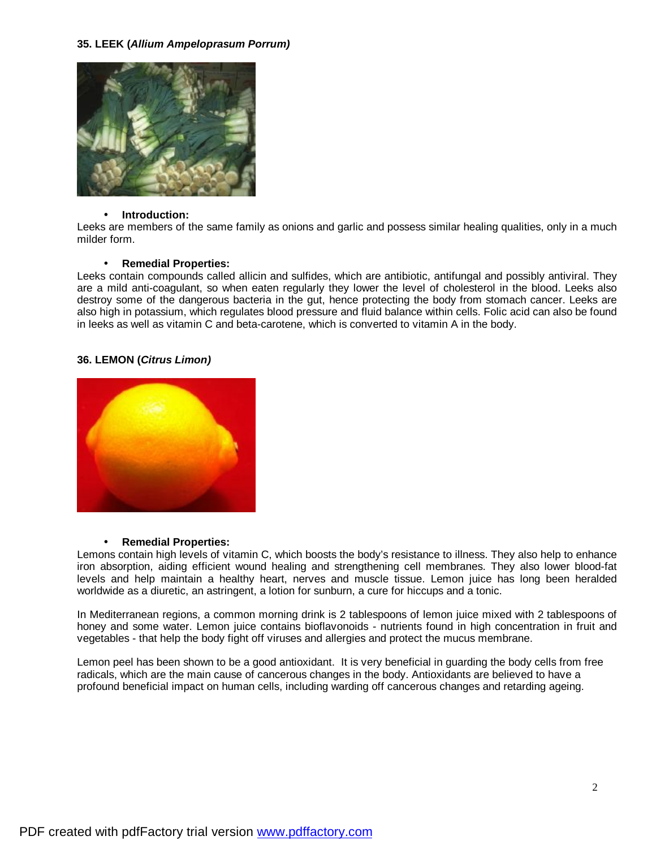## **35. LEEK (***Allium Ampeloprasum Porrum)*



#### • **Introduction:**

Leeks are members of the same family as onions and garlic and possess similar healing qualities, only in a much milder form.

### • **Remedial Properties:**

Leeks contain compounds called allicin and sulfides, which are antibiotic, antifungal and possibly antiviral. They are a mild anti-coagulant, so when eaten regularly they lower the level of cholesterol in the blood. Leeks also destroy some of the dangerous bacteria in the gut, hence protecting the body from stomach cancer. Leeks are also high in potassium, which regulates blood pressure and fluid balance within cells. Folic acid can also be found in leeks as well as vitamin C and beta-carotene, which is converted to vitamin A in the body.

## **36. LEMON (***Citrus Limon)*



### • **Remedial Properties:**

Lemons contain high levels of vitamin C, which boosts the body's resistance to illness. They also help to enhance iron absorption, aiding efficient wound healing and strengthening cell membranes. They also lower blood-fat levels and help maintain a healthy heart, nerves and muscle tissue. Lemon juice has long been heralded worldwide as a diuretic, an astringent, a lotion for sunburn, a cure for hiccups and a tonic.

In Mediterranean regions, a common morning drink is 2 tablespoons of lemon juice mixed with 2 tablespoons of honey and some water. Lemon juice contains bioflavonoids - nutrients found in high concentration in fruit and vegetables - that help the body fight off viruses and allergies and protect the mucus membrane.

Lemon peel has been shown to be a good antioxidant. It is very beneficial in guarding the body cells from free radicals, which are the main cause of cancerous changes in the body. Antioxidants are believed to have a profound beneficial impact on human cells, including warding off cancerous changes and retarding ageing.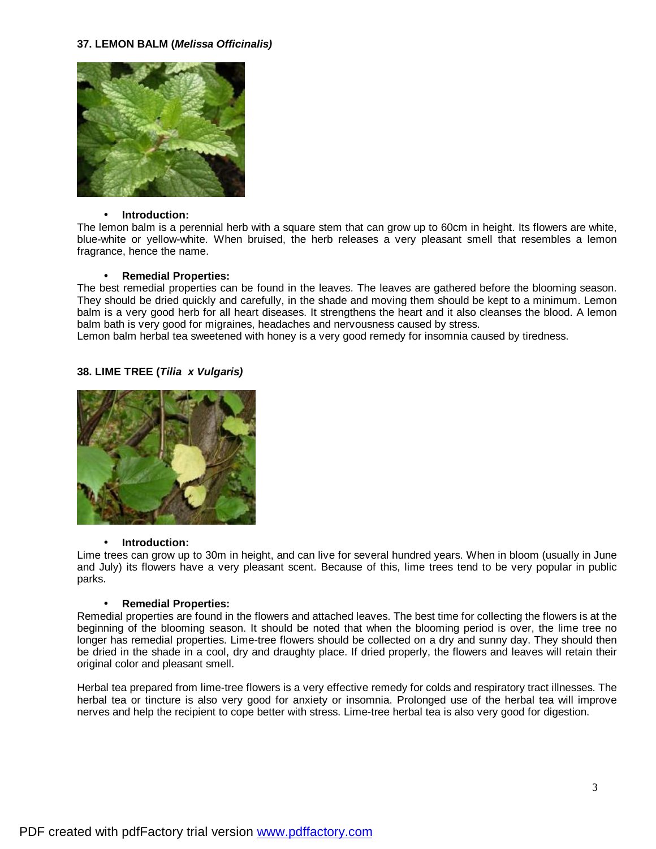### **37. LEMON BALM (***Melissa Officinalis)*



#### • **Introduction:**

The lemon balm is a perennial herb with a square stem that can grow up to 60cm in height. Its flowers are white, blue-white or yellow-white. When bruised, the herb releases a very pleasant smell that resembles a lemon fragrance, hence the name.

#### • **Remedial Properties:**

The best remedial properties can be found in the leaves. The leaves are gathered before the blooming season. They should be dried quickly and carefully, in the shade and moving them should be kept to a minimum. Lemon balm is a very good herb for all heart diseases. It strengthens the heart and it also cleanses the blood. A lemon balm bath is very good for migraines, headaches and nervousness caused by stress.

Lemon balm herbal tea sweetened with honey is a very good remedy for insomnia caused by tiredness.

## **38. LIME TREE (***Tilia x Vulgaris)*



### • **Introduction:**

Lime trees can grow up to 30m in height, and can live for several hundred years. When in bloom (usually in June and July) its flowers have a very pleasant scent. Because of this, lime trees tend to be very popular in public parks.

### • **Remedial Properties:**

Remedial properties are found in the flowers and attached leaves. The best time for collecting the flowers is at the beginning of the blooming season. It should be noted that when the blooming period is over, the lime tree no longer has remedial properties. Lime-tree flowers should be collected on a dry and sunny day. They should then be dried in the shade in a cool, dry and draughty place. If dried properly, the flowers and leaves will retain their original color and pleasant smell.

Herbal tea prepared from lime-tree flowers is a very effective remedy for colds and respiratory tract illnesses. The herbal tea or tincture is also very good for anxiety or insomnia. Prolonged use of the herbal tea will improve nerves and help the recipient to cope better with stress. Lime-tree herbal tea is also very good for digestion.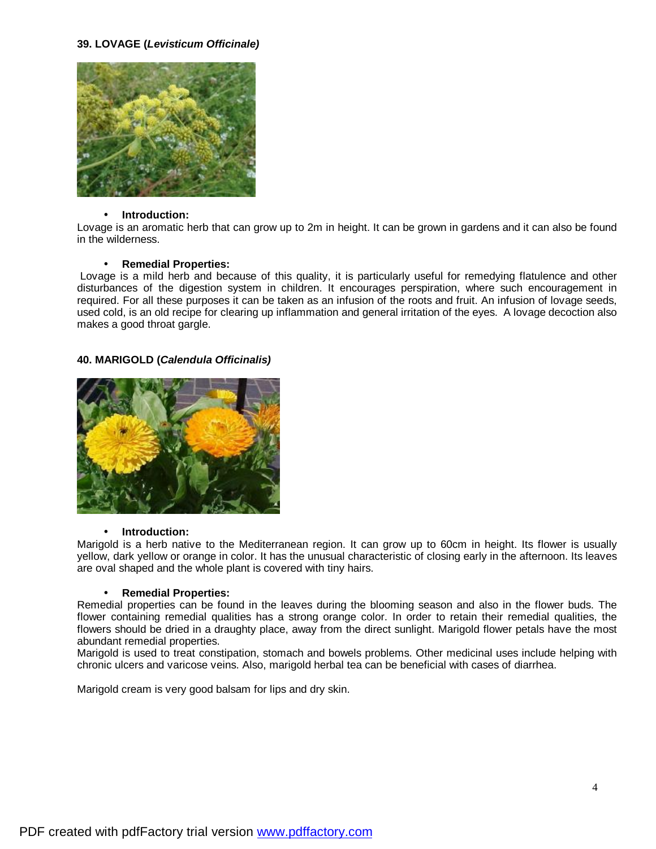## **39. LOVAGE (***Levisticum Officinale)*



#### • **Introduction:**

Lovage is an aromatic herb that can grow up to 2m in height. It can be grown in gardens and it can also be found in the wilderness.

#### • **Remedial Properties:**

Lovage is a mild herb and because of this quality, it is particularly useful for remedying flatulence and other disturbances of the digestion system in children. It encourages perspiration, where such encouragement in required. For all these purposes it can be taken as an infusion of the roots and fruit. An infusion of lovage seeds, used cold, is an old recipe for clearing up inflammation and general irritation of the eyes. A lovage decoction also makes a good throat gargle.

### **40. MARIGOLD (***Calendula Officinalis)*



#### • **Introduction:**

Marigold is a herb native to the Mediterranean region. It can grow up to 60cm in height. Its flower is usually yellow, dark yellow or orange in color. It has the unusual characteristic of closing early in the afternoon. Its leaves are oval shaped and the whole plant is covered with tiny hairs.

### • **Remedial Properties:**

Remedial properties can be found in the leaves during the blooming season and also in the flower buds. The flower containing remedial qualities has a strong orange color. In order to retain their remedial qualities, the flowers should be dried in a draughty place, away from the direct sunlight. Marigold flower petals have the most abundant remedial properties.

Marigold is used to treat constipation, stomach and bowels problems. Other medicinal uses include helping with chronic ulcers and varicose veins. Also, marigold herbal tea can be beneficial with cases of diarrhea.

Marigold cream is very good balsam for lips and dry skin.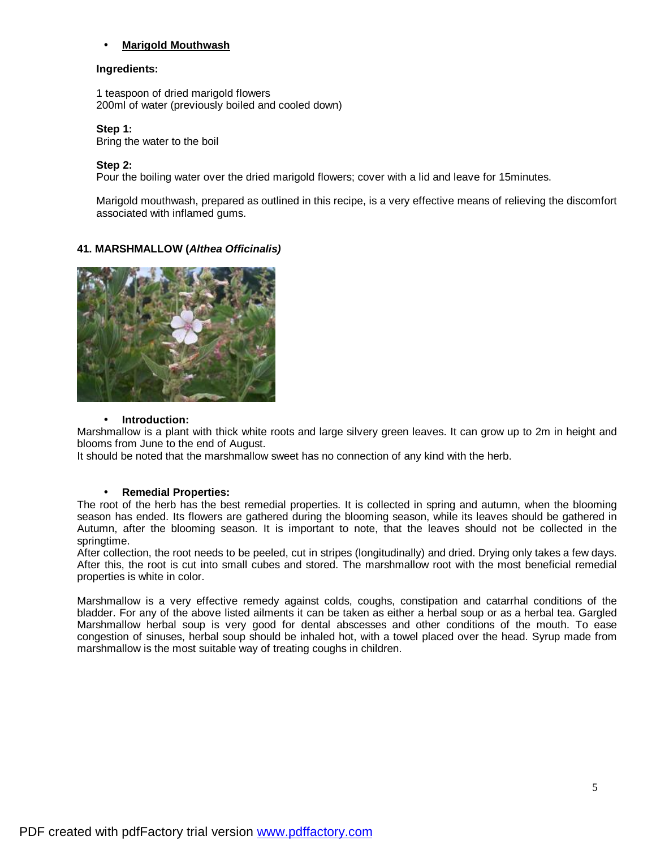## • **Marigold Mouthwash**

#### **Ingredients:**

1 teaspoon of dried marigold flowers 200ml of water (previously boiled and cooled down)

**Step 1:** 

Bring the water to the boil

#### **Step 2:**

Pour the boiling water over the dried marigold flowers; cover with a lid and leave for 15minutes.

Marigold mouthwash, prepared as outlined in this recipe, is a very effective means of relieving the discomfort associated with inflamed gums.

## **41. MARSHMALLOW (***Althea Officinalis)*



#### • **Introduction:**

Marshmallow is a plant with thick white roots and large silvery green leaves. It can grow up to 2m in height and blooms from June to the end of August.

It should be noted that the marshmallow sweet has no connection of any kind with the herb.

### • **Remedial Properties:**

The root of the herb has the best remedial properties. It is collected in spring and autumn, when the blooming season has ended. Its flowers are gathered during the blooming season, while its leaves should be gathered in Autumn, after the blooming season. It is important to note, that the leaves should not be collected in the springtime.

After collection, the root needs to be peeled, cut in stripes (longitudinally) and dried. Drying only takes a few days. After this, the root is cut into small cubes and stored. The marshmallow root with the most beneficial remedial properties is white in color.

Marshmallow is a very effective remedy against colds, coughs, constipation and catarrhal conditions of the bladder. For any of the above listed ailments it can be taken as either a herbal soup or as a herbal tea. Gargled Marshmallow herbal soup is very good for dental abscesses and other conditions of the mouth. To ease congestion of sinuses, herbal soup should be inhaled hot, with a towel placed over the head. Syrup made from marshmallow is the most suitable way of treating coughs in children.